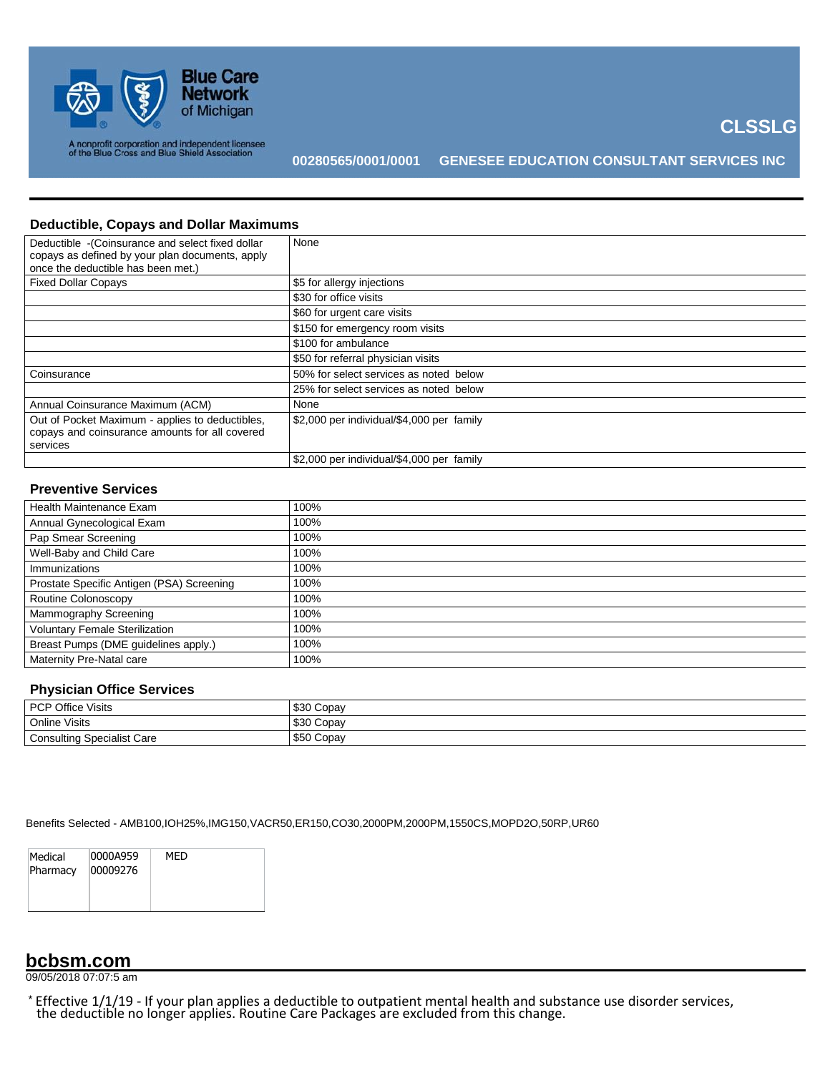

**CLSSLG**

## **Deductible, Copays and Dollar Maximums**

| Deductible - (Coinsurance and select fixed dollar<br>copays as defined by your plan documents, apply<br>once the deductible has been met.) | None                                      |
|--------------------------------------------------------------------------------------------------------------------------------------------|-------------------------------------------|
| <b>Fixed Dollar Copays</b>                                                                                                                 | \$5 for allergy injections                |
|                                                                                                                                            | \$30 for office visits                    |
|                                                                                                                                            | \$60 for urgent care visits               |
|                                                                                                                                            | \$150 for emergency room visits           |
|                                                                                                                                            | \$100 for ambulance                       |
|                                                                                                                                            | \$50 for referral physician visits        |
| Coinsurance                                                                                                                                | 50% for select services as noted below    |
|                                                                                                                                            | 25% for select services as noted below    |
| Annual Coinsurance Maximum (ACM)                                                                                                           | None                                      |
| Out of Pocket Maximum - applies to deductibles,<br>copays and coinsurance amounts for all covered<br>services                              | \$2,000 per individual/\$4,000 per family |
|                                                                                                                                            | \$2,000 per individual/\$4,000 per family |

#### **Preventive Services**

| Health Maintenance Exam                   | 100% |
|-------------------------------------------|------|
| Annual Gynecological Exam                 | 100% |
| Pap Smear Screening                       | 100% |
| Well-Baby and Child Care                  | 100% |
| Immunizations                             | 100% |
| Prostate Specific Antigen (PSA) Screening | 100% |
| Routine Colonoscopy                       | 100% |
| Mammography Screening                     | 100% |
| <b>Voluntary Female Sterilization</b>     | 100% |
| Breast Pumps (DME guidelines apply.)      | 100% |
| Maternity Pre-Natal care                  | 100% |
|                                           |      |

## **Physician Office Services**

| <b>PCP Office Visits</b>          | \$30 Copay |
|-----------------------------------|------------|
| <b>Online Visits</b>              | \$30 Copay |
| <b>Consulting Specialist Care</b> | \$50 Copay |

Benefits Selected - AMB100,IOH25%,IMG150,VACR50,ER150,CO30,2000PM,2000PM,1550CS,MOPD2O,50RP,UR60

| Medical<br>Pharmacy | 0000A959<br>00009276 | MFD |
|---------------------|----------------------|-----|
|                     |                      |     |

## **bcbsm.com**

09/05/2018 07:07:5 am

\* Effective 1/1/19 - If your plan applies a deductible to outpatient mental health and substance use disorder services, the deductible no longer applies. Routine Care Packages are excluded from this change.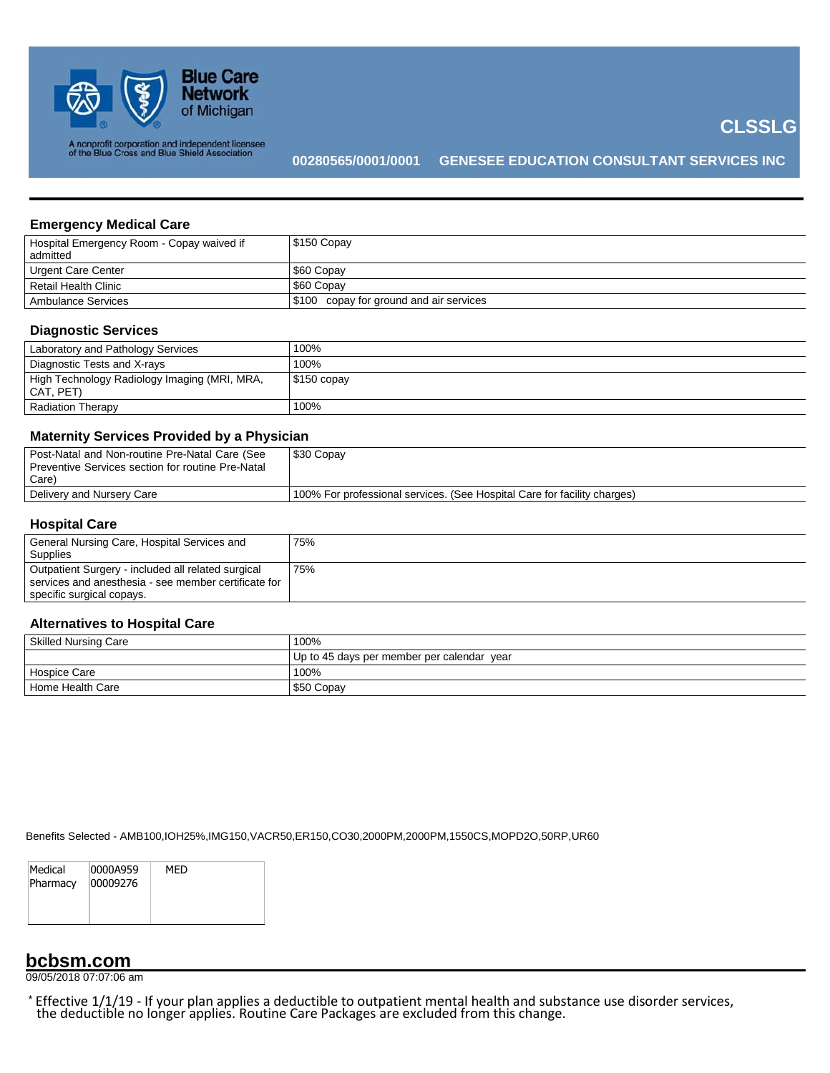

**CLSSLG**

### **Emergency Medical Care**

| Hospital Emergency Room - Copay waived if<br>admitted | $\frac{1}{2}$ \$150 Copay                  |
|-------------------------------------------------------|--------------------------------------------|
| Urgent Care Center                                    | \$60 Copav                                 |
| Retail Health Clinic                                  | \$60 Copav                                 |
| Ambulance Services                                    | copay for ground and air services<br>\$100 |

## **Diagnostic Services**

| Laboratory and Pathology Services                         | 100%         |
|-----------------------------------------------------------|--------------|
| Diagnostic Tests and X-rays                               | 100%         |
| High Technology Radiology Imaging (MRI, MRA,<br>CAT, PET) | $$150$ copay |
| <b>Radiation Therapy</b>                                  | 100%         |

### **Maternity Services Provided by a Physician**

| Post-Natal and Non-routine Pre-Natal Care (See    | \$30 Copay                                                               |
|---------------------------------------------------|--------------------------------------------------------------------------|
| Preventive Services section for routine Pre-Natal |                                                                          |
| Care)                                             |                                                                          |
| Delivery and Nursery Care                         | 100% For professional services. (See Hospital Care for facility charges) |
|                                                   |                                                                          |

## **Hospital Care**

| General Nursing Care, Hospital Services and          | 75% |
|------------------------------------------------------|-----|
| Supplies                                             |     |
| Outpatient Surgery - included all related surgical   | 75% |
| services and anesthesia - see member certificate for |     |
| specific surgical copays.                            |     |

### **Alternatives to Hospital Care**

| <b>Skilled Nursing Care</b> | 100%                                       |  |
|-----------------------------|--------------------------------------------|--|
|                             | Up to 45 days per member per calendar year |  |
| <b>Hospice Care</b>         | 100%                                       |  |
| Home Health Care            | \$50 Copay                                 |  |

Benefits Selected - AMB100,IOH25%,IMG150,VACR50,ER150,CO30,2000PM,2000PM,1550CS,MOPD2O,50RP,UR60

| Medical<br>Pharmacy | 0000A959<br>00009276 | MFD |
|---------------------|----------------------|-----|
|                     |                      |     |

## **bcbsm.com**

09/05/2018 07:07:06 am

\* Effective 1/1/19 - If your plan applies a deductible to outpatient mental health and substance use disorder services, the deductible no longer applies. Routine Care Packages are excluded from this change.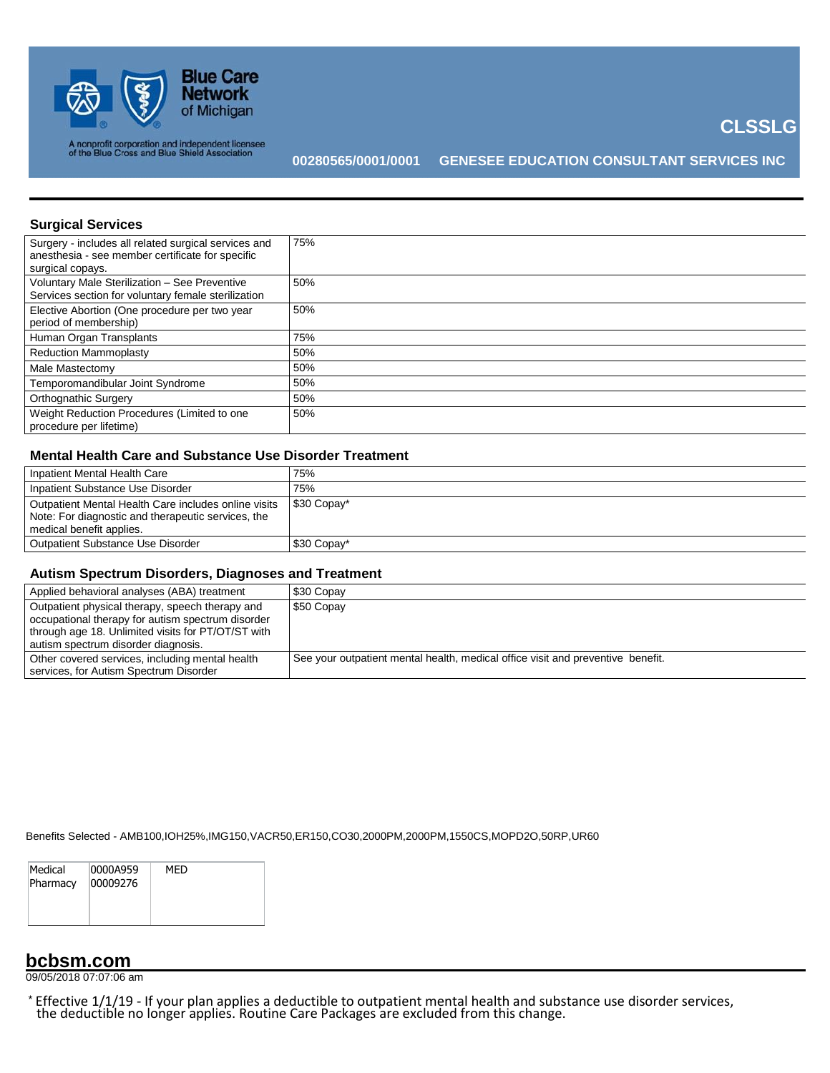

**CLSSLG**

### **Surgical Services**

| Surgery - includes all related surgical services and<br>anesthesia - see member certificate for specific<br>surgical copays. | 75% |
|------------------------------------------------------------------------------------------------------------------------------|-----|
| Voluntary Male Sterilization - See Preventive<br>Services section for voluntary female sterilization                         | 50% |
| Elective Abortion (One procedure per two year<br>period of membership)                                                       | 50% |
| Human Organ Transplants                                                                                                      | 75% |
| <b>Reduction Mammoplasty</b>                                                                                                 | 50% |
| Male Mastectomy                                                                                                              | 50% |
| Temporomandibular Joint Syndrome                                                                                             | 50% |
| <b>Orthognathic Surgery</b>                                                                                                  | 50% |
| Weight Reduction Procedures (Limited to one<br>procedure per lifetime)                                                       | 50% |

### **Mental Health Care and Substance Use Disorder Treatment**

| Inpatient Mental Health Care                                                                                                           | 75%         |
|----------------------------------------------------------------------------------------------------------------------------------------|-------------|
| Inpatient Substance Use Disorder                                                                                                       | 75%         |
| Outpatient Mental Health Care includes online visits<br>Note: For diagnostic and therapeutic services, the<br>medical benefit applies. | \$30 Copay* |
| Outpatient Substance Use Disorder                                                                                                      | \$30 Copay* |

## **Autism Spectrum Disorders, Diagnoses and Treatment**

| Applied behavioral analyses (ABA) treatment                                                                                                                                                       | \$30 Copay                                                                      |
|---------------------------------------------------------------------------------------------------------------------------------------------------------------------------------------------------|---------------------------------------------------------------------------------|
| Outpatient physical therapy, speech therapy and<br>occupational therapy for autism spectrum disorder<br>through age 18. Unlimited visits for PT/OT/ST with<br>autism spectrum disorder diagnosis. | \$50 Copay                                                                      |
| Other covered services, including mental health<br>services, for Autism Spectrum Disorder                                                                                                         | See your outpatient mental health, medical office visit and preventive benefit. |

Benefits Selected - AMB100,IOH25%,IMG150,VACR50,ER150,CO30,2000PM,2000PM,1550CS,MOPD2O,50RP,UR60

| Medical  | 0000A959 | MFD |  |
|----------|----------|-----|--|
| Pharmacy | 00009276 |     |  |
|          |          |     |  |
|          |          |     |  |

## **bcbsm.com**

09/05/2018 07:07:06 am

\* Effective 1/1/19 - If your plan applies a deductible to outpatient mental health and substance use disorder services, the deductible no longer applies. Routine Care Packages are excluded from this change.